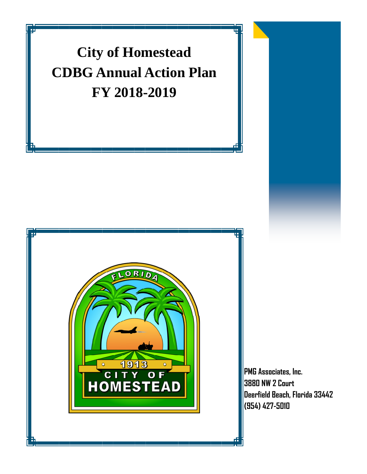# **City of Homestead CDBG Annual Action Plan FY 2018-2019**



**PMG Associates, Inc. 3880 NW 2 Court Deerfield Beach, Florida 33442 (954) 427-5010**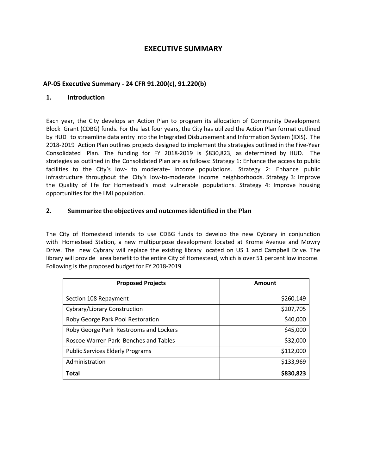## **EXECUTIVE SUMMARY**

#### **AP‐05 Executive Summary ‐ 24 CFR 91.200(c), 91.220(b)**

#### **1. Introduction**

Each year, the City develops an Action Plan to program its allocation of Community Development Block Grant (CDBG) funds. For the last four years, the City has utilized the Action Plan format outlined by HUD to streamline data entry into the Integrated Disbursement and Information System (IDIS). The 2018‐2019 Action Plan outlines projects designed to implement the strategies outlined in the Five‐Year Consolidated Plan. The funding for FY 2018‐2019 is \$830,823, as determined by HUD. The strategies as outlined in the Consolidated Plan are as follows: Strategy 1: Enhance the access to public facilities to the City's low- to moderate- income populations. Strategy 2: Enhance public infrastructure throughout the City's low-to-moderate income neighborhoods. Strategy 3: Improve the Quality of life for Homestead's most vulnerable populations. Strategy 4: Improve housing opportunities for the LMI population.

#### **2. Summarize the objectives and outcomes identified in the Plan**

The City of Homestead intends to use CDBG funds to develop the new Cybrary in conjunction with Homestead Station, a new multipurpose development located at Krome Avenue and Mowry Drive. The new Cybrary will replace the existing library located on US 1 and Campbell Drive. The library will provide area benefit to the entire City of Homestead, which is over 51 percent low income. Following is the proposed budget for FY 2018‐2019

| <b>Proposed Projects</b>                | Amount    |
|-----------------------------------------|-----------|
| Section 108 Repayment                   | \$260,149 |
| Cybrary/Library Construction            | \$207,705 |
| Roby George Park Pool Restoration       | \$40,000  |
| Roby George Park Restrooms and Lockers  | \$45,000  |
| Roscoe Warren Park Benches and Tables   | \$32,000  |
| <b>Public Services Elderly Programs</b> | \$112,000 |
| Administration                          | \$133,969 |
| Total                                   | \$830,823 |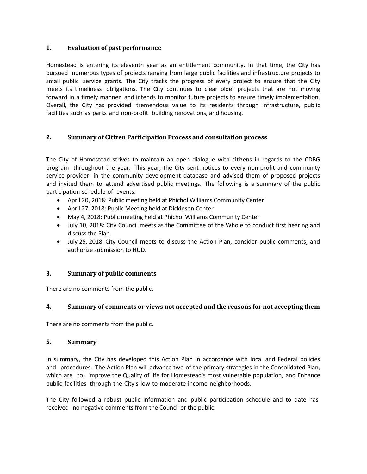#### **1. Evaluation of past performance**

Homestead is entering its eleventh year as an entitlement community. In that time, the City has pursued numerous types of projects ranging from large public facilities and infrastructure projects to small public service grants. The City tracks the progress of every project to ensure that the City meets its timeliness obligations. The City continues to clear older projects that are not moving forward in a timely manner and intends to monitor future projects to ensure timely implementation. Overall, the City has provided tremendous value to its residents through infrastructure, public facilities such as parks and non-profit building renovations, and housing.

#### **2. Summary of Citizen Participation Process and consultation process**

The City of Homestead strives to maintain an open dialogue with citizens in regards to the CDBG program throughout the year. This year, the City sent notices to every non-profit and community service provider in the community development database and advised them of proposed projects and invited them to attend advertised public meetings. The following is a summary of the public participation schedule of events:

- April 20, 2018: Public meeting held at Phichol Williams Community Center
- April 27, 2018: Public Meeting held at Dickinson Center
- May 4, 2018: Public meeting held at Phichol Williams Community Center
- July 10, 2018: City Council meets as the Committee of the Whole to conduct first hearing and discuss the Plan
- July 25, 2018: City Council meets to discuss the Action Plan, consider public comments, and authorize submission to HUD.

#### **3. Summary of public comments**

There are no comments from the public.

#### **4. Summary of comments or views not accepted and the reasons for not accepting them**

There are no comments from the public.

#### **5. Summary**

In summary, the City has developed this Action Plan in accordance with local and Federal policies and procedures. The Action Plan will advance two of the primary strategies in the Consolidated Plan, which are to: improve the Quality of life for Homestead's most vulnerable population, and Enhance public facilities through the City's low-to-moderate-income neighborhoods.

The City followed a robust public information and public participation schedule and to date has received no negative comments from the Council or the public.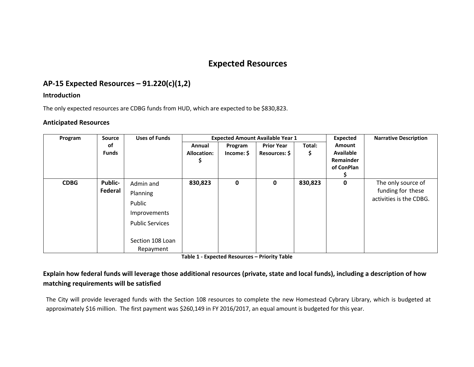# **Expected Resources**

# **AP‐15 Expected Resources – 91.220(c)(1,2)**

#### **Introduction**

The only expected resources are CDBG funds from HUD, which are expected to be \$830,823.

#### **Anticipated Resources**

| Program     | <b>Source</b>  | <b>Uses of Funds</b>   | <b>Expected Amount Available Year 1</b> |            |                   |         | Expected         | <b>Narrative Description</b> |
|-------------|----------------|------------------------|-----------------------------------------|------------|-------------------|---------|------------------|------------------------------|
|             | οf             |                        | Annual                                  | Program    | <b>Prior Year</b> | Total:  | Amount           |                              |
|             | <b>Funds</b>   |                        | <b>Allocation:</b>                      | Income: \$ | Resources: \$     | Ş       | <b>Available</b> |                              |
|             |                |                        | \$                                      |            |                   |         | Remainder        |                              |
|             |                |                        |                                         |            |                   |         | of ConPlan       |                              |
|             |                |                        |                                         |            |                   |         |                  |                              |
| <b>CDBG</b> | <b>Public-</b> | Admin and              | 830,823                                 | 0          | 0                 | 830,823 | 0                | The only source of           |
|             | Federal        | Planning               |                                         |            |                   |         |                  | funding for these            |
|             |                | Public                 |                                         |            |                   |         |                  | activities is the CDBG.      |
|             |                | Improvements           |                                         |            |                   |         |                  |                              |
|             |                | <b>Public Services</b> |                                         |            |                   |         |                  |                              |
|             |                |                        |                                         |            |                   |         |                  |                              |
|             |                | Section 108 Loan       |                                         |            |                   |         |                  |                              |
|             |                | Repayment              |                                         |            |                   |         |                  |                              |

**Table 1 ‐ Expected Resources – Priority Table**

## Explain how federal funds will leverage those additional resources (private, state and local funds), including a description of how **matching requirements will be satisfied**

The City will provide leveraged funds with the Section 108 resources to complete the new Homestead Cybrary Library, which is budgeted at approximately \$16 million. The first payment was \$260,149 in FY 2016/2017, an equal amount is budgeted for this year.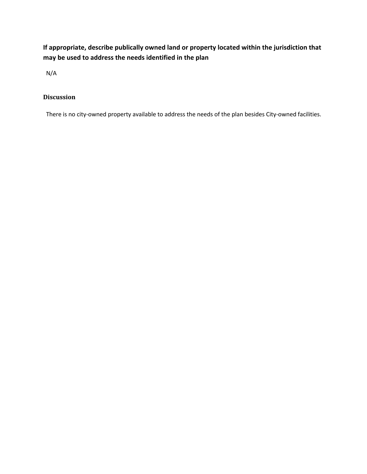**If appropriate, describe publically owned land or property located within the jurisdiction that may be used to address the needs identified in the plan**

N/A

## **Discussion**

There is no city-owned property available to address the needs of the plan besides City-owned facilities.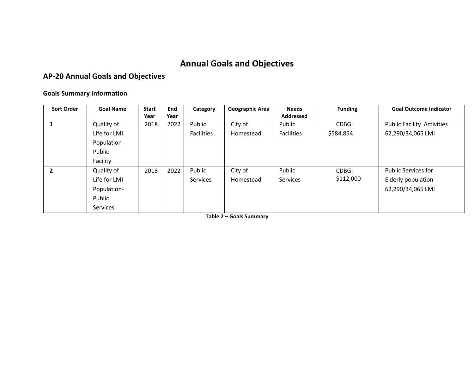# **Annual Goals and Objectives**

## **AP‐20 Annual Goals and Objectives**

#### **Goals Summary Information**

| <b>Sort Order</b> | <b>Goal Name</b> | <b>Start</b> | End  | Category          | <b>Geographic Area</b> | <b>Needs</b>      | <b>Funding</b> | <b>Goal Outcome Indicator</b>     |
|-------------------|------------------|--------------|------|-------------------|------------------------|-------------------|----------------|-----------------------------------|
|                   |                  | Year         | Year |                   |                        | <b>Addressed</b>  |                |                                   |
| 1                 | Quality of       | 2018         | 2022 | Public            | City of                | Public            | CDBG:          | <b>Public Facility Activities</b> |
|                   | Life for LMI     |              |      | <b>Facilities</b> | Homestead              | <b>Facilities</b> | \$584,854      | 62,290/34,065 LMI                 |
|                   | Population-      |              |      |                   |                        |                   |                |                                   |
|                   | Public           |              |      |                   |                        |                   |                |                                   |
|                   | Facility         |              |      |                   |                        |                   |                |                                   |
| $\overline{2}$    | Quality of       | 2018         | 2022 | Public            | City of                | Public            | CDBG:          | <b>Public Services for</b>        |
|                   | Life for LMI     |              |      | Services          | Homestead              | <b>Services</b>   | \$112,000      | Elderly population                |
|                   | Population-      |              |      |                   |                        |                   |                | 62,290/34,065 LMI                 |
|                   | Public           |              |      |                   |                        |                   |                |                                   |
|                   | <b>Services</b>  |              |      |                   |                        |                   |                |                                   |

**Table 2 – Goals Summary**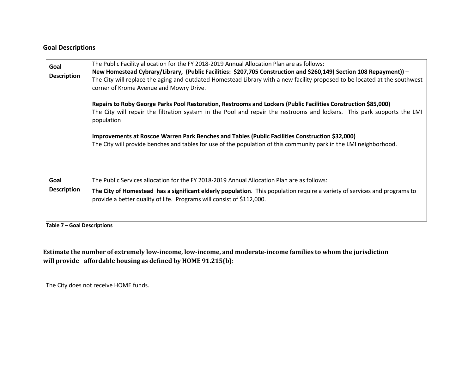#### **Goal Descriptions**

| Goal<br><b>Description</b> | The Public Facility allocation for the FY 2018-2019 Annual Allocation Plan are as follows:<br>New Homestead Cybrary/Library, (Public Facilities: \$207,705 Construction and \$260,149( Section 108 Repayment)) -<br>The City will replace the aging and outdated Homestead Library with a new facility proposed to be located at the southwest<br>corner of Krome Avenue and Mowry Drive.<br>Repairs to Roby George Parks Pool Restoration, Restrooms and Lockers (Public Facilities Construction \$85,000)<br>The City will repair the filtration system in the Pool and repair the restrooms and lockers. This park supports the LMI<br>population<br>Improvements at Roscoe Warren Park Benches and Tables (Public Facilities Construction \$32,000)<br>The City will provide benches and tables for use of the population of this community park in the LMI neighborhood. |
|----------------------------|-------------------------------------------------------------------------------------------------------------------------------------------------------------------------------------------------------------------------------------------------------------------------------------------------------------------------------------------------------------------------------------------------------------------------------------------------------------------------------------------------------------------------------------------------------------------------------------------------------------------------------------------------------------------------------------------------------------------------------------------------------------------------------------------------------------------------------------------------------------------------------|
| Goal<br><b>Description</b> | The Public Services allocation for the FY 2018-2019 Annual Allocation Plan are as follows:<br>The City of Homestead has a significant elderly population. This population require a variety of services and programs to<br>provide a better quality of life. Programs will consist of \$112,000.                                                                                                                                                                                                                                                                                                                                                                                                                                                                                                                                                                              |

**Table 7 – Goal Descriptions**

Estimate the number of extremely low-income, low-income, and moderate-income families to whom the jurisdiction **will provide affordable housing as defined by HOME 91.215(b):**

The City does not receive HOME funds.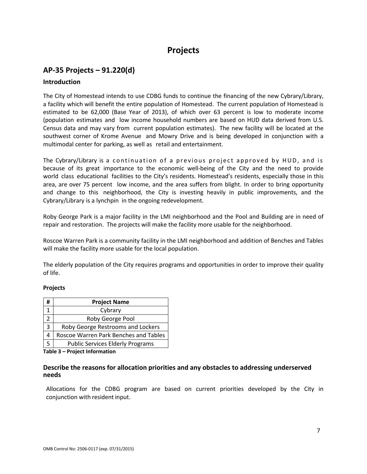# **Projects**

# **AP‐35 Projects – 91.220(d)**

#### **Introduction**

The City of Homestead intends to use CDBG funds to continue the financing of the new Cybrary/Library, a facility which will benefit the entire population of Homestead. The current population of Homestead is estimated to be 62,000 (Base Year of 2013), of which over 63 percent is low to moderate income (population estimates and low income household numbers are based on HUD data derived from U.S. Census data and may vary from current population estimates). The new facility will be located at the southwest corner of Krome Avenue and Mowry Drive and is being developed in conjunction with a multimodal center for parking, as well as retail and entertainment.

The Cybrary/Library is a continuation of a previous project approved by HUD, and is because of its great importance to the economic well‐being of the City and the need to provide world class educational facilities to the City's residents. Homestead's residents, especially those in this area, are over 75 percent low income, and the area suffers from blight. In order to bring opportunity and change to this neighborhood, the City is investing heavily in public improvements, and the Cybrary/Library is a lynchpin in the ongoing redevelopment.

Roby George Park is a major facility in the LMI neighborhood and the Pool and Building are in need of repair and restoration. The projects will make the facility more usable for the neighborhood.

Roscoe Warren Park is a community facility in the LMI neighborhood and addition of Benches and Tables will make the facility more usable for the local population.

The elderly population of the City requires programs and opportunities in order to improve their quality of life.

#### **Projects**

| # | <b>Project Name</b>                     |
|---|-----------------------------------------|
|   | Cybrary                                 |
|   | Roby George Pool                        |
| 3 | Roby George Restrooms and Lockers       |
| 4 | Roscoe Warren Park Benches and Tables   |
|   | <b>Public Services Elderly Programs</b> |

**Table 3 – Project Information**

#### **Describe the reasons for allocation priorities and any obstacles to addressing underserved needs**

Allocations for the CDBG program are based on current priorities developed by the City in conjunction with resident input.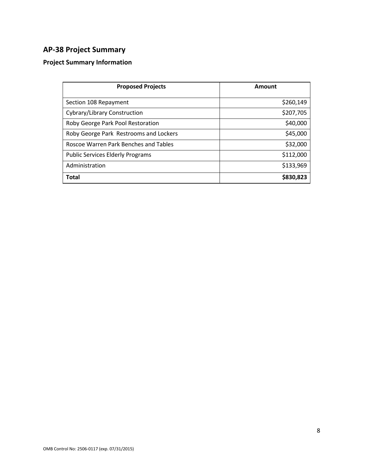# **AP‐38 Project Summary**

# **Project Summary Information**

| <b>Proposed Projects</b>                | Amount    |
|-----------------------------------------|-----------|
| Section 108 Repayment                   | \$260,149 |
| Cybrary/Library Construction            | \$207,705 |
| Roby George Park Pool Restoration       | \$40,000  |
| Roby George Park Restrooms and Lockers  | \$45,000  |
| Roscoe Warren Park Benches and Tables   | \$32,000  |
| <b>Public Services Elderly Programs</b> | \$112,000 |
| Administration                          | \$133,969 |
| <b>Total</b>                            | \$830,823 |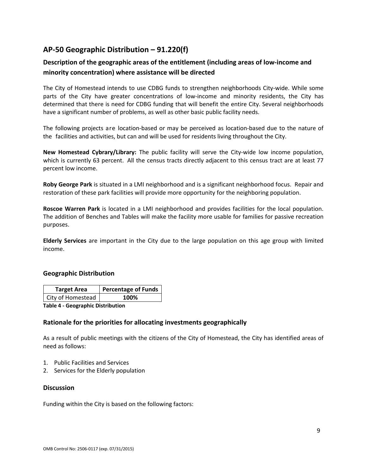# **AP‐50 Geographic Distribution – 91.220(f)**

## **Description of the geographic areas of the entitlement (including areas of low‐income and minority concentration) where assistance will be directed**

The City of Homestead intends to use CDBG funds to strengthen neighborhoods City‐wide. While some parts of the City have greater concentrations of low-income and minority residents, the City has determined that there is need for CDBG funding that will benefit the entire City. Several neighborhoods have a significant number of problems, as well as other basic public facility needs.

The following projects are location‐based or may be perceived as location‐based due to the nature of the facilities and activities, but can and will be used for residents living throughout the City.

**New Homestead Cybrary/Library:** The public facility will serve the City‐wide low income population, which is currently 63 percent. All the census tracts directly adjacent to this census tract are at least 77 percent low income.

**Roby George Park** is situated in a LMI neighborhood and is a significant neighborhood focus. Repair and restoration of these park facilities will provide more opportunity for the neighboring population.

**Roscoe Warren Park** is located in a LMI neighborhood and provides facilities for the local population. The addition of Benches and Tables will make the facility more usable for families for passive recreation purposes.

**Elderly Services** are important in the City due to the large population on this age group with limited income.

#### **Geographic Distribution**

| <b>Target Area</b>                                          | Percentage of Funds |  |  |
|-------------------------------------------------------------|---------------------|--|--|
| City of Homestead                                           | 100%                |  |  |
| and the compact of the instrumental contracts on<br>ティレー・イー |                     |  |  |

**Table 4 ‐ Geographic Distribution** 

#### **Rationale for the priorities for allocating investments geographically**

As a result of public meetings with the citizens of the City of Homestead, the City has identified areas of need as follows:

- 1. Public Facilities and Services
- 2. Services for the Elderly population

#### **Discussion**

Funding within the City is based on the following factors: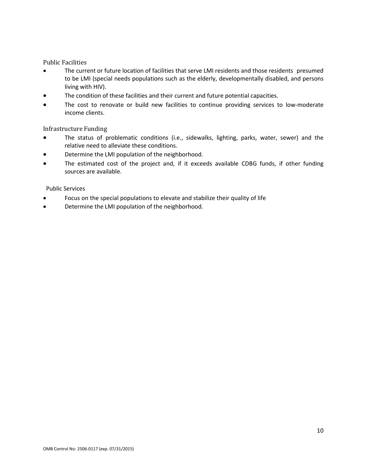#### **Public Facilities**

- The current or future location of facilities that serve LMI residents and those residents presumed to be LMI (special needs populations such as the elderly, developmentally disabled, and persons living with HIV).
- The condition of these facilities and their current and future potential capacities.
- The cost to renovate or build new facilities to continue providing services to low-moderate income clients.

#### Infrastructure Funding

- The status of problematic conditions (i.e., sidewalks, lighting, parks, water, sewer) and the relative need to alleviate these conditions.
- Determine the LMI population of the neighborhood.
- The estimated cost of the project and, if it exceeds available CDBG funds, if other funding sources are available.

#### Public Services

- Focus on the special populations to elevate and stabilize their quality of life
- Determine the LMI population of the neighborhood.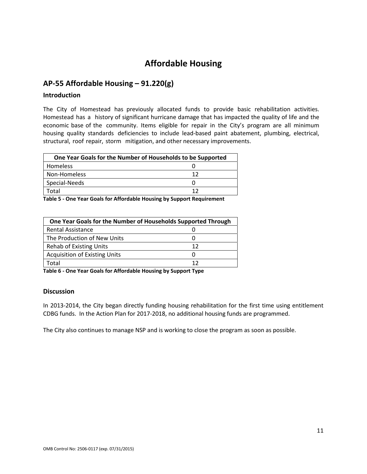# **Affordable Housing**

## **AP‐55 Affordable Housing – 91.220(g)**

#### **Introduction**

The City of Homestead has previously allocated funds to provide basic rehabilitation activities. Homestead has a history of significant hurricane damage that has impacted the quality of life and the economic base of the community. Items eligible for repair in the City's program are all minimum housing quality standards deficiencies to include lead-based paint abatement, plumbing, electrical, structural, roof repair, storm mitigation, and other necessary improvements.

| One Year Goals for the Number of Households to be Supported |    |  |
|-------------------------------------------------------------|----|--|
| Homeless                                                    |    |  |
| Non-Homeless                                                | 12 |  |
| Special-Needs                                               |    |  |
| ัดtal                                                       | 12 |  |

**Table 5 ‐ One Year Goals for Affordable Housing by Support Requirement**

| One Year Goals for the Number of Households Supported Through |    |  |  |
|---------------------------------------------------------------|----|--|--|
| <b>Rental Assistance</b>                                      |    |  |  |
| The Production of New Units                                   |    |  |  |
| <b>Rehab of Existing Units</b>                                | 12 |  |  |
| <b>Acquisition of Existing Units</b>                          |    |  |  |
| Total                                                         | 12 |  |  |

**Table 6 ‐ One Year Goals for Affordable Housing by Support Type**

#### **Discussion**

In 2013-2014, the City began directly funding housing rehabilitation for the first time using entitlement CDBG funds. In the Action Plan for 2017‐2018, no additional housing funds are programmed.

The City also continues to manage NSP and is working to close the program as soon as possible.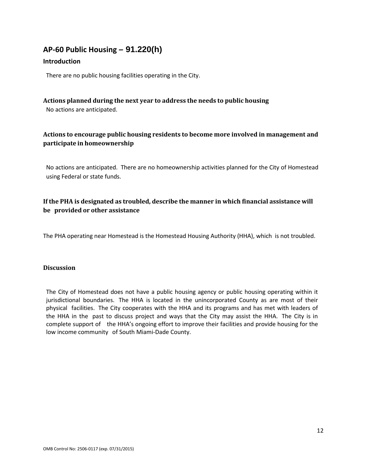# **AP‐60 Public Housing** *–* **91.220(h)**

#### **Introduction**

There are no public housing facilities operating in the City.

#### **Actions planned during the next year to address the needs to public housing**

No actions are anticipated.

## **Actions to encourage public housing residents to become more involved in management and participate in homeownership**

No actions are anticipated. There are no homeownership activities planned for the City of Homestead using Federal or state funds.

## **If the PHA is designated as troubled, describe the manner in which financial assistance will be provided or other assistance**

The PHA operating near Homestead is the Homestead Housing Authority (HHA), which is not troubled.

#### **Discussion**

The City of Homestead does not have a public housing agency or public housing operating within it jurisdictional boundaries. The HHA is located in the unincorporated County as are most of their physical facilities. The City cooperates with the HHA and its programs and has met with leaders of the HHA in the past to discuss project and ways that the City may assist the HHA. The City is in complete support of the HHA's ongoing effort to improve their facilities and provide housing for the low income community of South Miami‐Dade County.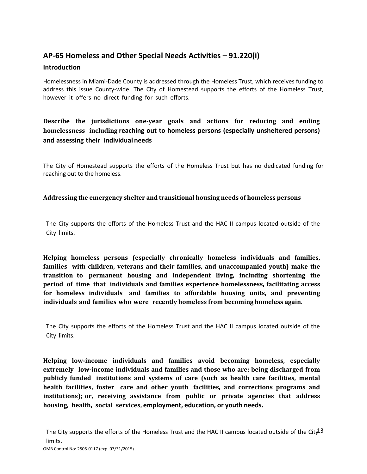# **AP‐65 Homeless and Other Special Needs Activities – 91.220(i)**

#### **Introduction**

Homelessness in Miami‐Dade County is addressed through the Homeless Trust, which receives funding to address this issue County‐wide. The City of Homestead supports the efforts of the Homeless Trust, however it offers no direct funding for such efforts.

# **Describe the jurisdictions one‐year goals and actions for reducing and ending homelessness including reaching out to homeless persons (especially unsheltered persons) and assessing their individual needs**

The City of Homestead supports the efforts of the Homeless Trust but has no dedicated funding for reaching out to the homeless.

#### **Addressing the emergency shelter and transitional housing needs of homeless persons**

The City supports the efforts of the Homeless Trust and the HAC II campus located outside of the City limits.

**Helping homeless persons (especially chronically homeless individuals and families, families with children, veterans and their families, and unaccompanied youth) make the transition to permanent housing and independent living, including shortening the period of time that individuals and families experience homelessness, facilitating access for homeless individuals and families to affordable housing units, and preventing individuals and families who were recently homeless from becoming homeless again.**

The City supports the efforts of the Homeless Trust and the HAC II campus located outside of the City limits.

**Helping low‐income individuals and families avoid becoming homeless, especially extremely low‐income individuals and families and those who are: being discharged from publicly funded institutions and systems of care (such as health care facilities, mental health facilities, foster care and other youth facilities, and corrections programs and** institutions); or, receiving assistance from public or private agencies that address **housing, health, social services, employment, education, or youth needs.**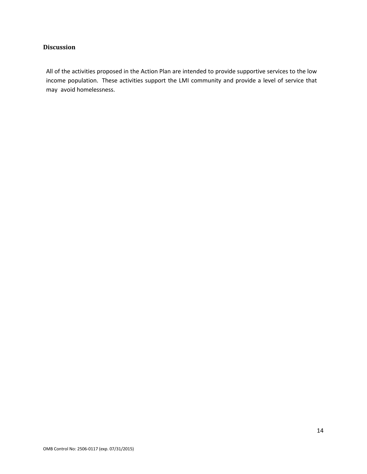#### **Discussion**

All of the activities proposed in the Action Plan are intended to provide supportive services to the low income population. These activities support the LMI community and provide a level of service that may avoid homelessness.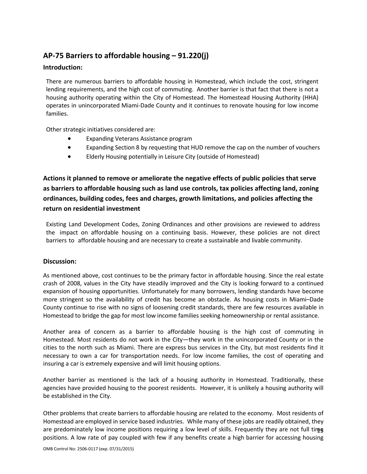# **AP‐75 Barriers to affordable housing – 91.220(j)**

#### **Introduction:**

There are numerous barriers to affordable housing in Homestead, which include the cost, stringent lending requirements, and the high cost of commuting. Another barrier is that fact that there is not a housing authority operating within the City of Homestead. The Homestead Housing Authority (HHA) operates in unincorporated Miami‐Dade County and it continues to renovate housing for low income families.

Other strategic initiatives considered are:

- Expanding Veterans Assistance program
- Expanding Section 8 by requesting that HUD remove the cap on the number of vouchers
- Elderly Housing potentially in Leisure City (outside of Homestead)

**Actions it planned to remove or ameliorate the negative effects of public policies that serve as barriers to affordable housing such as land use controls, tax policies affecting land, zoning ordinances, building codes, fees and charges, growth limitations, and policies affecting the return on residential investment**

Existing Land Development Codes, Zoning Ordinances and other provisions are reviewed to address the impact on affordable housing on a continuing basis. However, these policies are not direct barriers to affordable housing and are necessary to create a sustainable and livable community.

#### **Discussion:**

As mentioned above, cost continues to be the primary factor in affordable housing. Since the real estate crash of 2008, values in the City have steadily improved and the City is looking forward to a continued expansion of housing opportunities. Unfortunately for many borrowers, lending standards have become more stringent so the availability of credit has become an obstacle. As housing costs in Miami–Dade County continue to rise with no signs of loosening credit standards, there are few resources available in Homestead to bridge the gap for most low income families seeking homeownership or rental assistance.

Another area of concern as a barrier to affordable housing is the high cost of commuting in Homestead. Most residents do not work in the City—they work in the unincorporated County or in the cities to the north such as Miami. There are express bus services in the City, but most residents find it necessary to own a car for transportation needs. For low income families, the cost of operating and insuring a car is extremely expensive and will limit housing options.

Another barrier as mentioned is the lack of a housing authority in Homestead. Traditionally, these agencies have provided housing to the poorest residents. However, it is unlikely a housing authority will be established in the City.

are predominately low income positions requiring a low level of skills. Frequently they are not full times Other problems that create barriers to affordable housing are related to the economy. Most residents of Homestead are employed in service based industries. While many of these jobs are readily obtained, they positions. A low rate of pay coupled with few if any benefits create a high barrier for accessing housing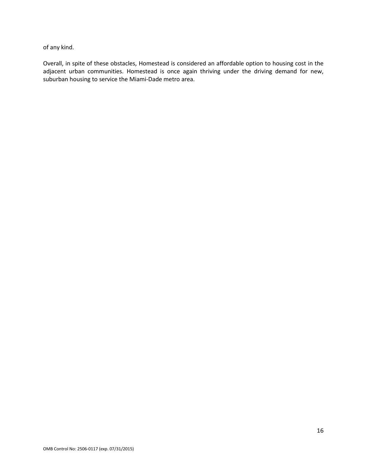of any kind.

Overall, in spite of these obstacles, Homestead is considered an affordable option to housing cost in the adjacent urban communities. Homestead is once again thriving under the driving demand for new, suburban housing to service the Miami‐Dade metro area.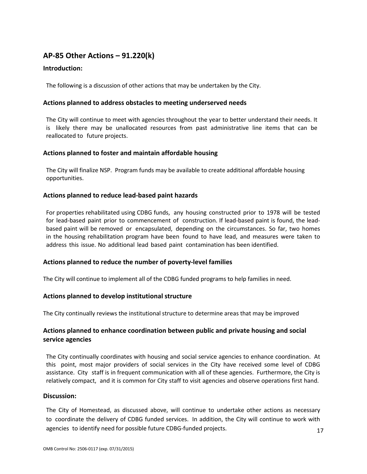# **AP‐85 Other Actions – 91.220(k)**

#### **Introduction:**

The following is a discussion of other actions that may be undertaken by the City.

#### **Actions planned to address obstacles to meeting underserved needs**

The City will continue to meet with agencies throughout the year to better understand their needs. It is likely there may be unallocated resources from past administrative line items that can be reallocated to future projects.

#### **Actions planned to foster and maintain affordable housing**

The City will finalize NSP. Program funds may be available to create additional affordable housing opportunities.

#### **Actions planned to reduce lead‐based paint hazards**

For properties rehabilitated using CDBG funds, any housing constructed prior to 1978 will be tested for lead-based paint prior to commencement of construction. If lead-based paint is found, the leadbased paint will be removed or encapsulated, depending on the circumstances. So far, two homes in the housing rehabilitation program have been found to have lead, and measures were taken to address this issue. No additional lead based paint contamination has been identified.

#### **Actions planned to reduce the number of poverty‐level families**

The City will continue to implement all of the CDBG funded programs to help families in need.

#### **Actions planned to develop institutional structure**

The City continually reviews the institutional structure to determine areas that may be improved

#### **Actions planned to enhance coordination between public and private housing and social service agencies**

The City continually coordinates with housing and social service agencies to enhance coordination. At this point, most major providers of social services in the City have received some level of CDBG assistance. City staff is in frequent communication with all of these agencies. Furthermore, the City is relatively compact, and it is common for City staff to visit agencies and observe operations first hand.

#### **Discussion:**

The City of Homestead, as discussed above, will continue to undertake other actions as necessary to coordinate the delivery of CDBG funded services. In addition, the City will continue to work with agencies to identify need for possible future CDBG‐funded projects.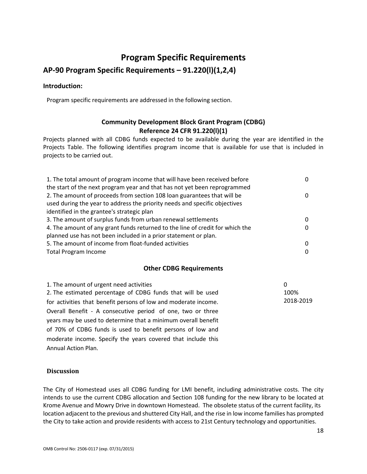# **Program Specific Requirements**

# **AP‐90 Program Specific Requirements – 91.220(l)(1,2,4)**

#### **Introduction:**

Program specific requirements are addressed in the following section.

## **Community Development Block Grant Program (CDBG) Reference 24 CFR 91.220(l)(1)**

Projects planned with all CDBG funds expected to be available during the year are identified in the Projects Table. The following identifies program income that is available for use that is included in projects to be carried out.

| 1. The total amount of program income that will have been received before     | 0        |
|-------------------------------------------------------------------------------|----------|
| the start of the next program year and that has not yet been reprogrammed     |          |
| 2. The amount of proceeds from section 108 loan guarantees that will be       | 0        |
| used during the year to address the priority needs and specific objectives    |          |
| identified in the grantee's strategic plan                                    |          |
| 3. The amount of surplus funds from urban renewal settlements                 | $\Omega$ |
| 4. The amount of any grant funds returned to the line of credit for which the | $\Omega$ |
| planned use has not been included in a prior statement or plan.               |          |
| 5. The amount of income from float-funded activities                          | $\Omega$ |
| <b>Total Program Income</b>                                                   | $\Omega$ |

#### **Other CDBG Requirements**

| 1. The amount of urgent need activities                         | 0         |
|-----------------------------------------------------------------|-----------|
| 2. The estimated percentage of CDBG funds that will be used     | 100%      |
| for activities that benefit persons of low and moderate income. | 2018-2019 |
| Overall Benefit - A consecutive period of one, two or three     |           |
| years may be used to determine that a minimum overall benefit   |           |
| of 70% of CDBG funds is used to benefit persons of low and      |           |
| moderate income. Specify the years covered that include this    |           |
| <b>Annual Action Plan.</b>                                      |           |
|                                                                 |           |

#### **Discussion**

The City of Homestead uses all CDBG funding for LMI benefit, including administrative costs. The city intends to use the current CDBG allocation and Section 108 funding for the new library to be located at Krome Avenue and Mowry Drive in downtown Homestead. The obsolete status of the current facility, its location adjacent to the previous and shuttered City Hall, and the rise in low income families has prompted the City to take action and provide residents with access to 21st Century technology and opportunities.